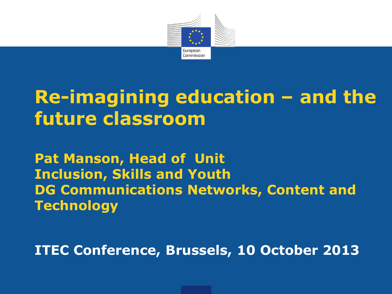

# **Re-imagining education – and the future classroom**

**Pat Manson, Head of Unit Inclusion, Skills and Youth DG Communications Networks, Content and Technology**

**ITEC Conference, Brussels, 10 October 2013**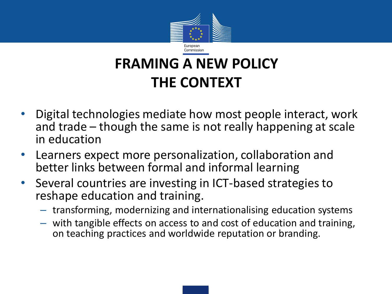

#### **FRAMING A NEW POLICY THE CONTEXT**

- Digital technologies mediate how most people interact, work and trade – though the same is not really happening at scale in education
- Learners expect more personalization, collaboration and better links between formal and informal learning
- Several countries are investing in ICT-based strategies to reshape education and training.
	- transforming, modernizing and internationalising education systems
	- with tangible effects on access to and cost of education and training, on teaching practices and worldwide reputation or branding.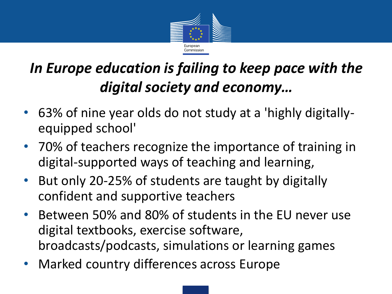

### *In Europe education is failing to keep pace with the digital society and economy…*

- 63% of nine year olds do not study at a 'highly digitallyequipped school'
- 70% of teachers recognize the importance of training in digital-supported ways of teaching and learning,
- But only 20-25% of students are taught by digitally confident and supportive teachers
- Between 50% and 80% of students in the EU never use digital textbooks, exercise software, broadcasts/podcasts, simulations or learning games
- Marked country differences across Europe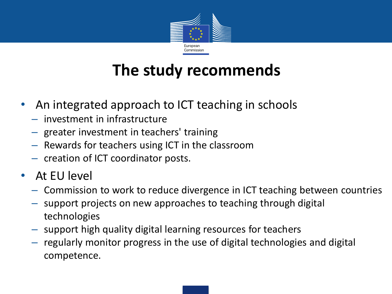

### **The study recommends**

- An integrated approach to ICT teaching in schools
	- investment in infrastructure
	- greater investment in teachers' training
	- Rewards for teachers using ICT in the classroom
	- creation of ICT coordinator posts.
- At EU level
	- Commission to work to reduce divergence in ICT teaching between countries
	- support projects on new approaches to teaching through digital technologies
	- support high quality digital learning resources for teachers
	- regularly monitor progress in the use of digital technologies and digital competence.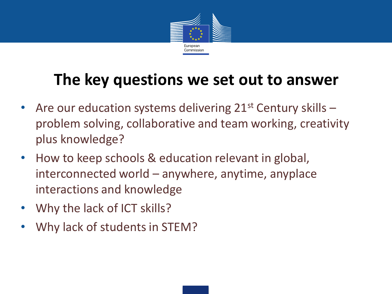

### **The key questions we set out to answer**

- Are our education systems delivering  $21^{st}$  Century skills  $$ problem solving, collaborative and team working, creativity plus knowledge?
- How to keep schools & education relevant in global, interconnected world – anywhere, anytime, anyplace interactions and knowledge
- Why the lack of ICT skills?
- Why lack of students in STEM?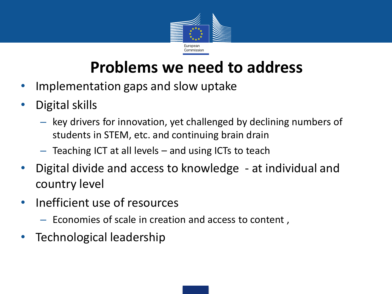

#### **Problems we need to address**

- Implementation gaps and slow uptake
- Digital skills
	- key drivers for innovation, yet challenged by declining numbers of students in STEM, etc. and continuing brain drain
	- Teaching ICT at all levels and using ICTs to teach
- Digital divide and access to knowledge at individual and country level
- Inefficient use of resources
	- Economies of scale in creation and access to content ,
- Technological leadership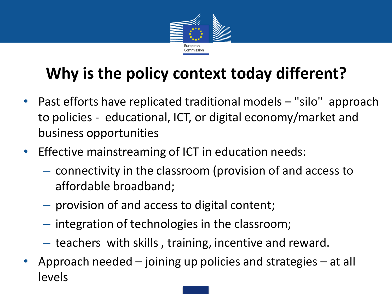

## **Why is the policy context today different?**

- Past efforts have replicated traditional models "silo" approach to policies - educational, ICT, or digital economy/market and business opportunities
- Effective mainstreaming of ICT in education needs:
	- connectivity in the classroom (provision of and access to affordable broadband;
	- provision of and access to digital content;
	- integration of technologies in the classroom;
	- teachers with skills , training, incentive and reward.
- Approach needed joining up policies and strategies at all levels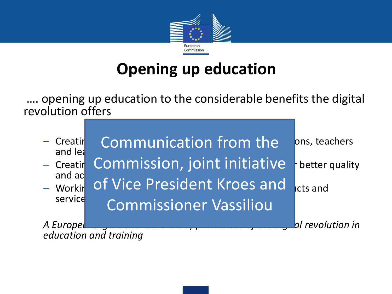

### **Opening up education**

…. opening up education to the considerable benefits the digital revolution offers

| - Creatir<br>and lea   | Communication from the        | ons, teachers    |
|------------------------|-------------------------------|------------------|
| $-$ Creatir            | Commission, joint initiative  | better quality   |
| and ac<br>- Workir     | of Vice President Kroes and   | cts and          |
| service                | <b>Commissioner Vassiliou</b> |                  |
| A Europel              |                               | al revolution in |
| education and training |                               |                  |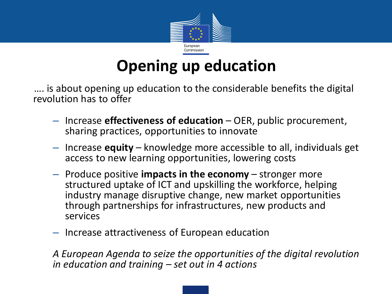

### **Opening up education**

…. is about opening up education to the considerable benefits the digital revolution has to offer

- Increase **effectiveness of education** OER, public procurement, sharing practices, opportunities to innovate
- Increase **equity** knowledge more accessible to all, individuals get access to new learning opportunities, lowering costs
- Produce positive **impacts in the economy** stronger more structured uptake of ICT and upskilling the workforce, helping industry manage disruptive change, new market opportunities through partnerships for infrastructures, new products and services
- Increase attractiveness of European education

*A European Agenda to seize the opportunities of the digital revolution in education and training – set out in 4 actions*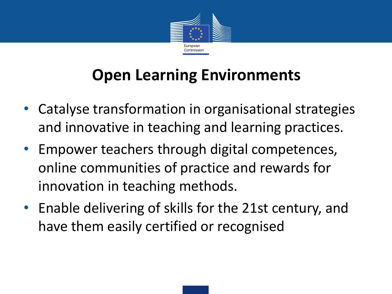

### **Open Learning Environments**

- Catalyse transformation in organisational strategies and innovative in teaching and learning practices.
- Empower teachers through digital competences, online communities of practice and rewards for innovation in teaching methods.
- Enable delivering of skills for the 21st century, and have them easily certified or recognised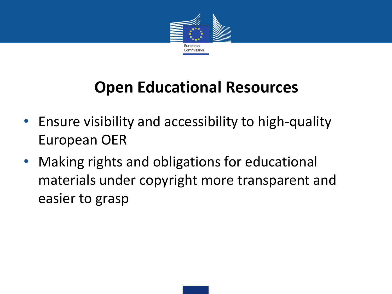

### **Open Educational Resources**

- Ensure visibility and accessibility to high-quality European OER
- Making rights and obligations for educational materials under copyright more transparent and easier to grasp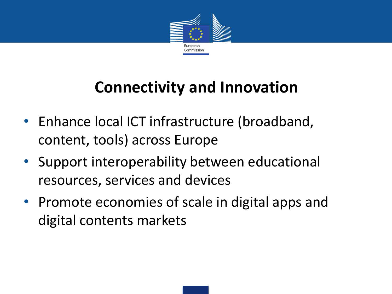

### **Connectivity and Innovation**

- Enhance local ICT infrastructure (broadband, content, tools) across Europe
- Support interoperability between educational resources, services and devices
- Promote economies of scale in digital apps and digital contents markets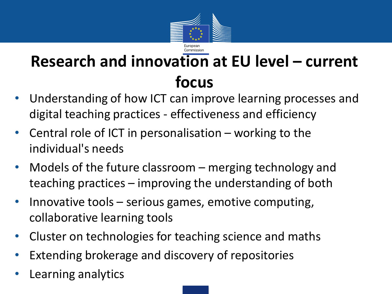

### **Research and innovation at EU level – current focus**

- Understanding of how ICT can improve learning processes and digital teaching practices - effectiveness and efficiency
- Central role of ICT in personalisation  $-$  working to the individual's needs
- Models of the future classroom merging technology and teaching practices – improving the understanding of both
- Innovative tools  $-$  serious games, emotive computing, collaborative learning tools
- Cluster on technologies for teaching science and maths
- Extending brokerage and discovery of repositories
- Learning analytics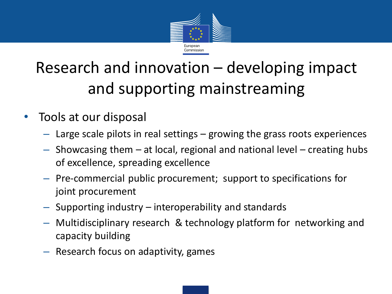

## Research and innovation – developing impact and supporting mainstreaming

- Tools at our disposal
	- Large scale pilots in real settings growing the grass roots experiences
	- Showcasing them at local, regional and national level creating hubs of excellence, spreading excellence
	- Pre-commercial public procurement; support to specifications for joint procurement
	- Supporting industry interoperability and standards
	- Multidisciplinary research & technology platform for networking and capacity building
	- Research focus on adaptivity, games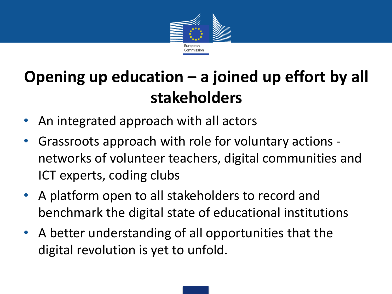

# **Opening up education – a joined up effort by all stakeholders**

- An integrated approach with all actors
- Grassroots approach with role for voluntary actions networks of volunteer teachers, digital communities and ICT experts, coding clubs
- A platform open to all stakeholders to record and benchmark the digital state of educational institutions
- A better understanding of all opportunities that the digital revolution is yet to unfold.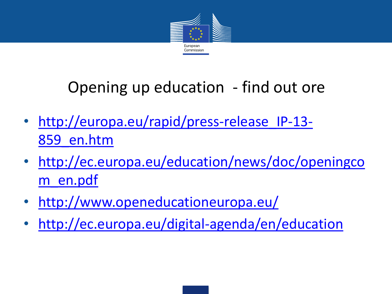

### Opening up education - find out ore

- http://europa.eu/rapid/press-release IP-13-859\_en.htm
- [http://ec.europa.eu/education/news/doc/openingco](http://ec.europa.eu/education/news/doc/openingcom_en.pdf) m\_en.pdf
- <http://www.openeducationeuropa.eu/>
- <http://ec.europa.eu/digital-agenda/en/education>